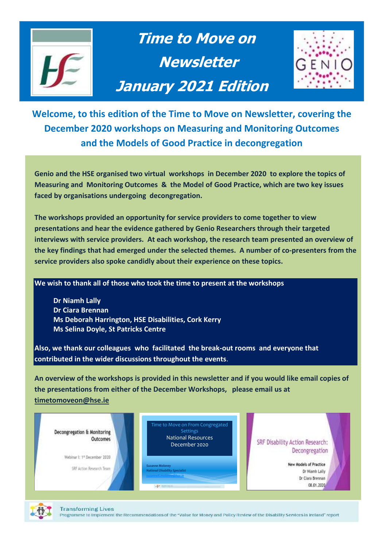

 **Time to Move on Newsletter January 2021 Edition** 



**Welcome, to this edition of the Time to Move on Newsletter, covering the December 2020 workshops on Measuring and Monitoring Outcomes and the Models of Good Practice in decongregation**

**Genio and the HSE organised two virtual workshops in December 2020 to explore the topics of Measuring and Monitoring Outcomes & the Model of Good Practice, which are two key issues faced by organisations undergoing decongregation.** 

**The workshops provided an opportunity for service providers to come together to view presentations and hear the evidence gathered by Genio Researchers through their targeted interviews with service providers. At each workshop, the research team presented an overview of the key findings that had emerged under the selected themes. A number of co-presenters from the service providers also spoke candidly about their experience on these topics.**

**We wish to thank all of those who took the time to present at the workshops**

**Dr Niamh Lally Dr Ciara Brennan Ms Deborah Harrington, HSE Disabilities, Cork Kerry Ms Selina Doyle, St Patricks Centre**

**Also, we thank our colleagues who facilitated the break-out rooms and everyone that contributed in the wider discussions throughout the events**.

**An overview of the workshops is provided in this newsletter and if you would like email copies of the presentations from either of the December Workshops, please email us at [timetomoveon@hse.ie](mailto:timetomoveon@hse.ie)**





Programme to Implement the Recommendations of the "Value for Money and Policy Review of the Disability Services in Ireland" report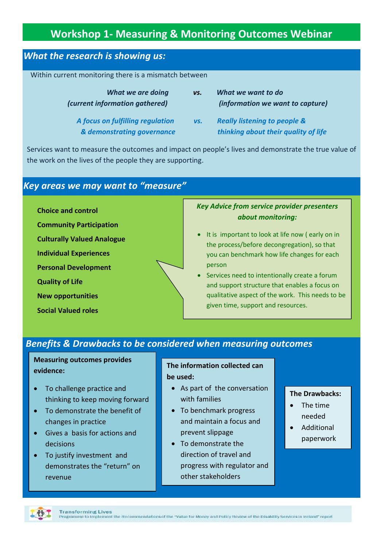# **Workshop 1- Measuring & Monitoring Outcomes Webinar**

## *What the research is showing us:*

Within current monitoring there is a mismatch between

| What we are doing<br>(current information gathered)            | VS. | What we want to do<br>(information we want to capture)                          |
|----------------------------------------------------------------|-----|---------------------------------------------------------------------------------|
| A focus on fulfilling regulation<br>& demonstrating governance | VS. | <b>Really listening to people &amp;</b><br>thinking about their quality of life |

 Services want to measure the outcomes and impact on people's lives and demonstrate the true value of the work on the lives of the people they are supporting.

## *Key areas we may want to "measure"*

**Choice and control**

- **Community Participation**
- **Culturally Valued Analogue**
- **Individual Experiences**
- **Personal Development**
- **Quality of Life**
- **New opportunities**
- **Social Valued roles**

### *Key Advice from service provider presenters about monitoring:*

- It is important to look at life now ( early on in the process/before decongregation), so that you can benchmark how life changes for each person
- Services need to intentionally create a forum and support structure that enables a focus on qualitative aspect of the work. This needs to be given time, support and resources.

# *Benefits & Drawbacks to be considered when measuring outcomes*

**Measuring outcomes provides evidence:**

- To challenge practice and thinking to keep moving forward
- To demonstrate the benefit of changes in practice
- Gives a basis for actions and decisions
- To justify investment and demonstrates the "return" on revenue

#### **The information collected can be used:**

- As part of the conversation with families
- To benchmark progress and maintain a focus and prevent slippage
- To demonstrate the direction of travel and progress with regulator and other stakeholders

#### **The Drawbacks:**

- The time needed
- Additional paperwork

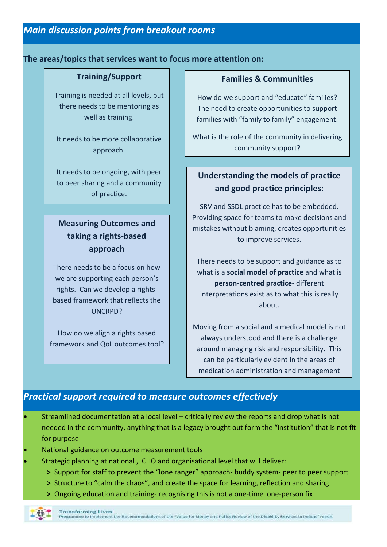### **The areas/topics that services want to focus more attention on:**

### **Training/Support**

Training is needed at all levels, but there needs to be mentoring as well as training.

It needs to be more collaborative approach.

It needs to be ongoing, with peer to peer sharing and a community of practice.

# **Measuring Outcomes and taking a rights-based approach**

There needs to be a focus on how we are supporting each person's rights. Can we develop a rightsbased framework that reflects the UNCRPD?

How do we align a rights based framework and QoL outcomes tool?

## **Families & Communities**

How do we support and "educate" families? The need to create opportunities to support families with "family to family" engagement.

What is the role of the community in delivering community support?

# **Understanding the models of practice and good practice principles:**

SRV and SSDL practice has to be embedded. Providing space for teams to make decisions and mistakes without blaming, creates opportunities to improve services.

There needs to be support and guidance as to what is a **social model of practice** and what is **person-centred practice**- different interpretations exist as to what this is really about.

Moving from a social and a medical model is not always understood and there is a challenge around managing risk and responsibility. This can be particularly evident in the areas of medication administration and management

## *Practical support required to measure outcomes effectively*

- Streamlined documentation at a local level critically review the reports and drop what is not needed in the community, anything that is a legacy brought out form the "institution" that is not fit for purpose
- National guidance on outcome measurement tools
- Strategic planning at national , CHO and organisational level that will deliver:
	- **>** Support for staff to prevent the "lone ranger" approach- buddy system- peer to peer support
	- **>** Structure to "calm the chaos", and create the space for learning, reflection and sharing
	- **>** Ongoing education and training- recognising this is not a one-time one-person fix

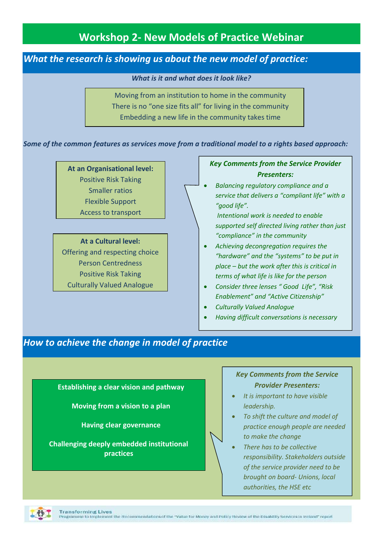# **Workshop 2- New Models of Practice Webinar**

## *What the research is showing us about the new model of practice:*

*What is it and what does it look like?*

Moving from an institution to home in the community There is no "one size fits all" for living in the community Embedding a new life in the community takes time

*Some of the common features as services move from a traditional model to a rights based approach:*

**At an Organisational level:** Positive Risk Taking Smaller ratios Flexible Support Access to transport

**At a Cultural level:** Offering and respecting choice Person Centredness Positive Risk Taking Culturally Valued Analogue

### *Key Comments from the Service Provider Presenters:*

 *Balancing regulatory compliance and a service that delivers a "compliant life" with a "good life".* 

*Intentional work is needed to enable supported self directed living rather than just "compliance" in the community* 

- *Achieving decongregation requires the "hardware" and the "systems" to be put in place – but the work after this is critical in terms of what life is like for the person*
- *Consider three lenses " Good Life", "Risk Enablement" and "Active Citizenship"*
- *Culturally Valued Analogue*

*Having difficult conversations is necessary* 

# How to achieve the change in model of practice

**Establishing a clear vision and pathway**

**Moving from a vision to a plan**

**Having clear governance**

**Challenging deeply embedded institutional practices**

Unravelling the medical and traditional

### *Key Comments from the Service Provider Presenters:*

- *It is important to have visible leadership.*
- *To shift the culture and model of practice enough people are needed to make the change*
- *There has to be collective responsibility. Stakeholders outside of the service provider need to be brought on board- Unions, local authorities, the HSE etc*

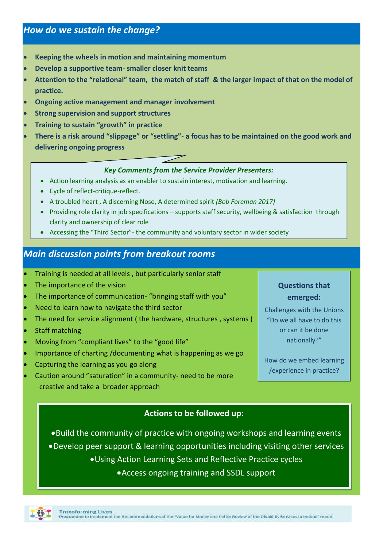- **Keeping the wheels in motion and maintaining momentum**
- **Develop a supportive team- smaller closer knit teams**
- **Attention to the "relational" team, the match of staff & the larger impact of that on the model of practice.**
- **Ongoing active management and manager involvement**
- **Strong supervision and support structures**
- **Training to sustain "growth" in practice**
- **There is a risk around "slippage" or "settling"- a focus has to be maintained on the good work and delivering ongoing progress**

### *Key Comments from the Service Provider Presenters:*

- Action learning analysis as an enabler to sustain interest, motivation and learning.
- Cycle of reflect-critique-reflect.
- A troubled heart , A discerning Nose, A determined spirit *(Bob Foreman 2017)*
- Providing role clarity in job specifications supports staff security, wellbeing & satisfaction through clarity and ownership of clear role
- Accessing the "Third Sector"- the community and voluntary sector in wider society

## *Main discussion points from breakout rooms*

- Training is needed at all levels , but particularly senior staff
- The importance of the vision
- The importance of communication- "bringing staff with you"
- Need to learn how to navigate the third sector
- The need for service alignment ( the hardware, structures , systems )
- Staff matching
- Moving from "compliant lives" to the "good life"
- Importance of charting /documenting what is happening as we go
- Capturing the learning as you go along
- Caution around "saturation" in a community- need to be more creative and take a broader approach

## **Questions that emerged:**

Challenges with the Unions "Do we all have to do this or can it be done nationally?"

How do we embed learning /experience in practice?

### **Actions to be followed up:**

Build the community of practice with ongoing workshops and learning events Develop peer support & learning opportunities including visiting other services Using Action Learning Sets and Reflective Practice cycles

Access ongoing training and SSDL support